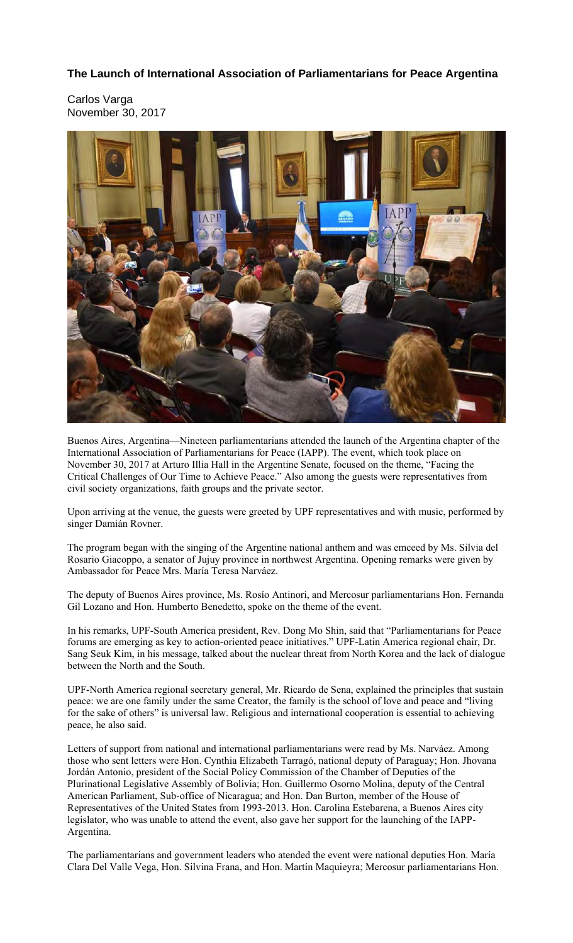## **The Launch of International Association of Parliamentarians for Peace Argentina**

Carlos Varga November 30, 2017



Buenos Aires, Argentina—Nineteen parliamentarians attended the launch of the Argentina chapter of the International Association of Parliamentarians for Peace (IAPP). The event, which took place on November 30, 2017 at Arturo Illia Hall in the Argentine Senate, focused on the theme, "Facing the Critical Challenges of Our Time to Achieve Peace." Also among the guests were representatives from civil society organizations, faith groups and the private sector.

Upon arriving at the venue, the guests were greeted by UPF representatives and with music, performed by singer Damián Rovner.

The program began with the singing of the Argentine national anthem and was emceed by Ms. Silvia del Rosario Giacoppo, a senator of Jujuy province in northwest Argentina. Opening remarks were given by Ambassador for Peace Mrs. María Teresa Narváez.

The deputy of Buenos Aires province, Ms. Rosío Antinori, and Mercosur parliamentarians Hon. Fernanda Gil Lozano and Hon. Humberto Benedetto, spoke on the theme of the event.

In his remarks, UPF-South America president, Rev. Dong Mo Shin, said that "Parliamentarians for Peace forums are emerging as key to action-oriented peace initiatives." UPF-Latin America regional chair, Dr. Sang Seuk Kim, in his message, talked about the nuclear threat from North Korea and the lack of dialogue between the North and the South.

UPF-North America regional secretary general, Mr. Ricardo de Sena, explained the principles that sustain peace: we are one family under the same Creator, the family is the school of love and peace and "living for the sake of others" is universal law. Religious and international cooperation is essential to achieving peace, he also said.

Letters of support from national and international parliamentarians were read by Ms. Narváez. Among those who sent letters were Hon. Cynthia Elizabeth Tarragó, national deputy of Paraguay; Hon. Jhovana Jordán Antonio, president of the Social Policy Commission of the Chamber of Deputies of the Plurinational Legislative Assembly of Bolivia; Hon. Guillermo Osorno Molina, deputy of the Central American Parliament, Sub-office of Nicaragua; and Hon. Dan Burton, member of the House of Representatives of the United States from 1993-2013. Hon. Carolina Estebarena, a Buenos Aires city legislator, who was unable to attend the event, also gave her support for the launching of the IAPP-Argentina.

The parliamentarians and government leaders who atended the event were national deputies Hon. María Clara Del Valle Vega, Hon. Silvina Frana, and Hon. Martín Maquieyra; Mercosur parliamentarians Hon.